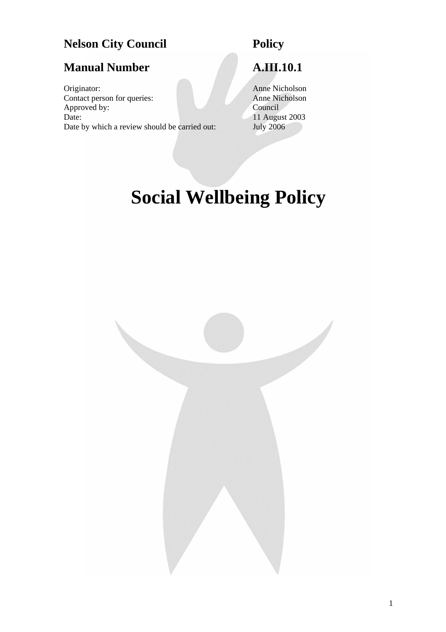# **Nelson City Council Policy**

# **Manual Number A.III.10.1**

Originator: Anne Nicholson<br>
Contact person for queries: Anne Nicholson<br>
Anne Nicholson Contact person for queries:<br>
Anne Nicholson<br>
Council Approved by: Date: 11 August 2003 Date by which a review should be carried out: July 2006

# **Social Wellbeing Policy**

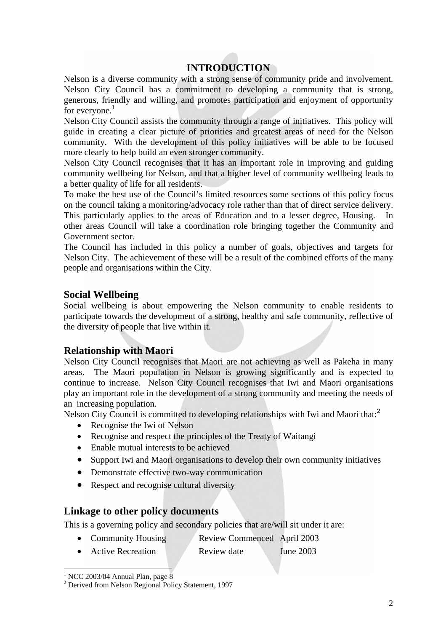# **INTRODUCTION**

Nelson is a diverse community with a strong sense of community pride and involvement. Nelson City Council has a commitment to developing a community that is strong, generous, friendly and willing, and promotes participation and enjoyment of opportunity for everyone. $<sup>1</sup>$ </sup>

Nelson City Council assists the community through a range of initiatives. This policy will guide in creating a clear picture of priorities and greatest areas of need for the Nelson community. With the development of this policy initiatives will be able to be focused more clearly to help build an even stronger community.

Nelson City Council recognises that it has an important role in improving and guiding community wellbeing for Nelson, and that a higher level of community wellbeing leads to a better quality of life for all residents.

To make the best use of the Council's limited resources some sections of this policy focus on the council taking a monitoring/advocacy role rather than that of direct service delivery. This particularly applies to the areas of Education and to a lesser degree, Housing. In other areas Council will take a coordination role bringing together the Community and

Government sector.

The Council has included in this policy a number of goals, objectives and targets for Nelson City. The achievement of these will be a result of the combined efforts of the many people and organisations within the City.

#### **Social Wellbeing**

Social wellbeing is about empowering the Nelson community to enable residents to participate towards the development of a strong, healthy and safe community, reflective of the diversity of people that live within it.

#### **Relationship with Maori**

Nelson City Council recognises that Maori are not achieving as well as Pakeha in many areas. The Maori population in Nelson is growing significantly and is expected to continue to increase. Nelson City Council recognises that Iwi and Maori organisations play an important role in the development of a strong community and meeting the needs of an increasing population.

Nelson City Council is committed to developing relationships with Iwi and Maori that:<sup>[2](#page-1-1)</sup>

- Recognise the Iwi of Nelson
- Recognise and respect the principles of the Treaty of Waitangi
- Enable mutual interests to be achieved
- Support Iwi and Maori organisations to develop their own community initiatives
- Demonstrate effective two-way communication
- Respect and recognise cultural diversity

#### **Linkage to other policy documents**

This is a governing policy and secondary policies that are/will sit under it are:

- Community Housing Review Commenced April 2003
- Active Recreation Review date June 2003

<span id="page-1-0"></span><sup>&</sup>lt;sup>1</sup> NCC 2003/04 Annual Plan, page 8

<span id="page-1-1"></span><sup>&</sup>lt;sup>2</sup> Derived from Nelson Regional Policy Statement, 1997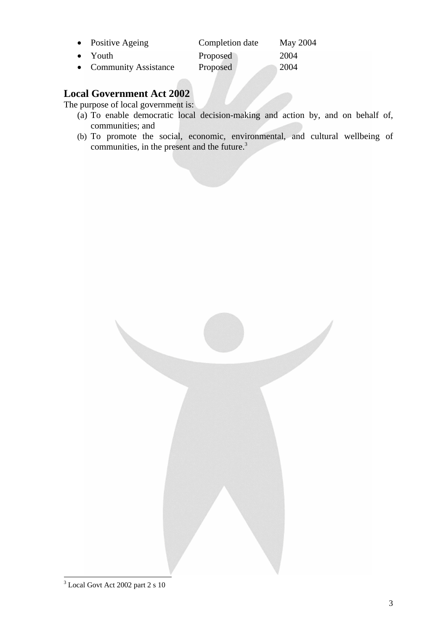| • Positive Ageing      | Completion date | May 2004 |
|------------------------|-----------------|----------|
| $\bullet$ Youth        | Proposed        | 2004     |
| • Community Assistance | Proposed        | 2004     |

# **Local Government Act 2002**

The purpose of local government is:

- (a) To enable democratic local decision-making and action by, and on behalf of, communities; and
- (b) To promote the social, economic, environmental, and cultural wellbeing of communities, in the present and the future.<sup>3</sup>

<span id="page-2-0"></span>

 3 Local Govt Act 2002 part 2 s 10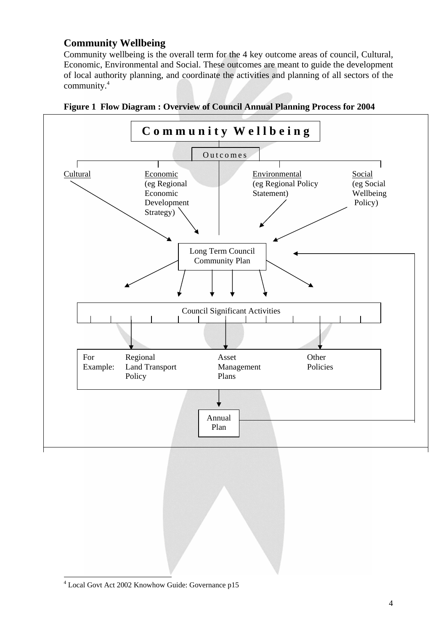## **Community Wellbeing**

Community wellbeing is the overall term for the 4 key outcome areas of council, Cultural, Economic, Environmental and Social. These outcomes are meant to guide the development of local authority planning, and coordinate the activities and planning of all sectors of the community[.4](#page-3-0)





<span id="page-3-0"></span> $\frac{1}{4}$ Local Govt Act 2002 Knowhow Guide: Governance p15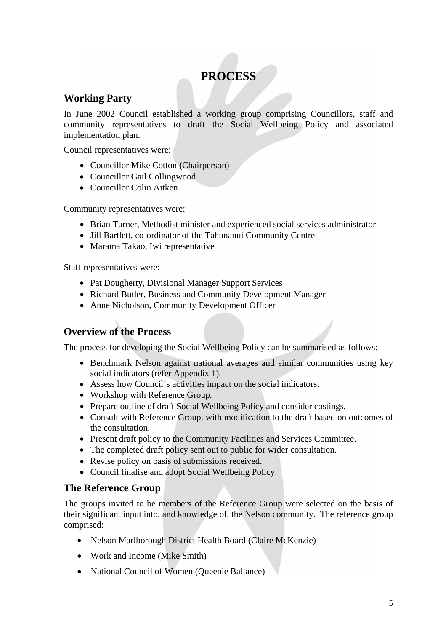# **PROCESS**

# **Working Party**

In June 2002 Council established a working group comprising Councillors, staff and community representatives to draft the Social Wellbeing Policy and associated implementation plan.

Council representatives were:

- Councillor Mike Cotton (Chairperson)
- Councillor Gail Collingwood
- Councillor Colin Aitken

Community representatives were:

- Brian Turner, Methodist minister and experienced social services administrator
- Jill Bartlett, co-ordinator of the Tahunanui Community Centre
- Marama Takao, Iwi representative

Staff representatives were:

- Pat Dougherty, Divisional Manager Support Services
- Richard Butler, Business and Community Development Manager
- Anne Nicholson, Community Development Officer

# **Overview of the Process**

The process for developing the Social Wellbeing Policy can be summarised as follows:

- Benchmark Nelson against national averages and similar communities using key social indicators (refer Appendix 1).
- Assess how Council's activities impact on the social indicators.
- Workshop with Reference Group*.*
- Prepare outline of draft Social Wellbeing Policy and consider costings*.*
- Consult with Reference Group, with modification to the draft based on outcomes of the consultation.
- Present draft policy to the Community Facilities and Services Committee.
- The completed draft policy sent out to public for wider consultation*.*
- Revise policy on basis of submissions received.
- Council finalise and adopt Social Wellbeing Policy.

#### **The Reference Group**

The groups invited to be members of the Reference Group were selected on the basis of their significant input into, and knowledge of, the Nelson community. The reference group comprised:

- Nelson Marlborough District Health Board (Claire McKenzie)
- Work and Income (Mike Smith)
- National Council of Women (Queenie Ballance)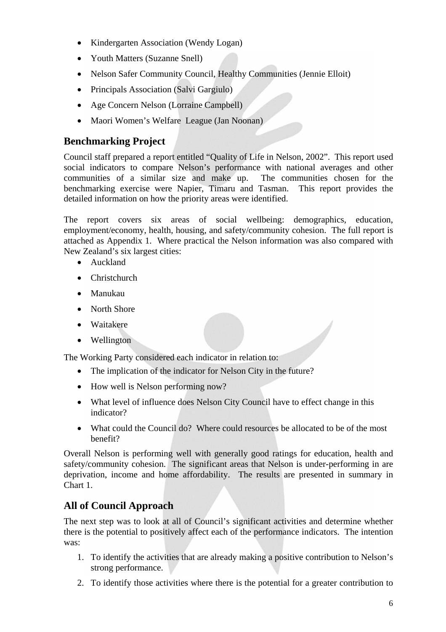- Kindergarten Association (Wendy Logan)
- Youth Matters (Suzanne Snell)
- Nelson Safer Community Council, Healthy Communities (Jennie Elloit)
- Principals Association (Salvi Gargiulo)
- Age Concern Nelson (Lorraine Campbell)
- Maori Women's Welfare League (Jan Noonan)

# **Benchmarking Project**

Council staff prepared a report entitled "Quality of Life in Nelson, 2002". This report used social indicators to compare Nelson's performance with national averages and other communities of a similar size and make up. The communities chosen for the benchmarking exercise were Napier, Timaru and Tasman. This report provides the detailed information on how the priority areas were identified.

The report covers six areas of social wellbeing: demographics, education, employment/economy, health, housing, and safety/community cohesion. The full report is attached as Appendix 1. Where practical the Nelson information was also compared with New Zealand's six largest cities:

- Auckland
- Christchurch
- Manukau
- North Shore
- Waitakere
- Wellington

The Working Party considered each indicator in relation to:

- The implication of the indicator for Nelson City in the future?
- How well is Nelson performing now?
- What level of influence does Nelson City Council have to effect change in this indicator?
- What could the Council do? Where could resources be allocated to be of the most benefit?

Overall Nelson is performing well with generally good ratings for education, health and safety/community cohesion. The significant areas that Nelson is under-performing in are deprivation, income and home affordability. The results are presented in summary in Chart 1.

# **All of Council Approach**

The next step was to look at all of Council's significant activities and determine whether there is the potential to positively affect each of the performance indicators. The intention was:

- 1. To identify the activities that are already making a positive contribution to Nelson's strong performance.
- 2. To identify those activities where there is the potential for a greater contribution to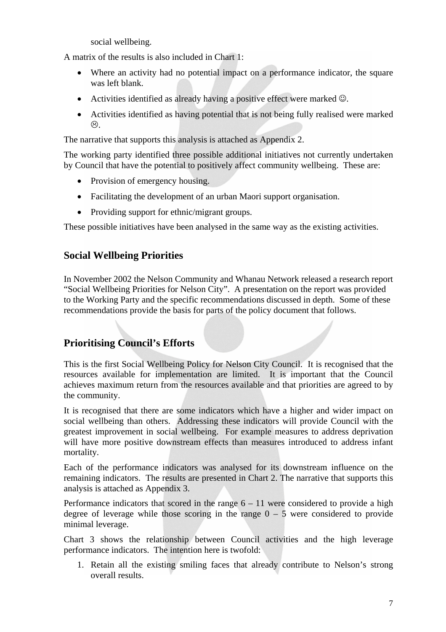social wellbeing.

A matrix of the results is also included in Chart 1:

- Where an activity had no potential impact on a performance indicator, the square was left blank.
- Activities identified as already having a positive effect were marked  $\odot$ .
- Activities identified as having potential that is not being fully realised were marked  $\odot$

The narrative that supports this analysis is attached as Appendix 2.

The working party identified three possible additional initiatives not currently undertaken by Council that have the potential to positively affect community wellbeing. These are:

- Provision of emergency housing.
- Facilitating the development of an urban Maori support organisation.
- Providing support for ethnic/migrant groups.

These possible initiatives have been analysed in the same way as the existing activities.

# **Social Wellbeing Priorities**

In November 2002 the Nelson Community and Whanau Network released a research report "Social Wellbeing Priorities for Nelson City". A presentation on the report was provided to the Working Party and the specific recommendations discussed in depth. Some of these recommendations provide the basis for parts of the policy document that follows.

# **Prioritising Council's Efforts**

This is the first Social Wellbeing Policy for Nelson City Council. It is recognised that the resources available for implementation are limited. It is important that the Council achieves maximum return from the resources available and that priorities are agreed to by the community.

It is recognised that there are some indicators which have a higher and wider impact on social wellbeing than others. Addressing these indicators will provide Council with the greatest improvement in social wellbeing. For example measures to address deprivation will have more positive downstream effects than measures introduced to address infant mortality.

Each of the performance indicators was analysed for its downstream influence on the remaining indicators. The results are presented in Chart 2. The narrative that supports this analysis is attached as Appendix 3.

Performance indicators that scored in the range  $6 - 11$  were considered to provide a high degree of leverage while those scoring in the range  $0 - 5$  were considered to provide minimal leverage.

Chart 3 shows the relationship between Council activities and the high leverage performance indicators. The intention here is twofold:

1. Retain all the existing smiling faces that already contribute to Nelson's strong overall results.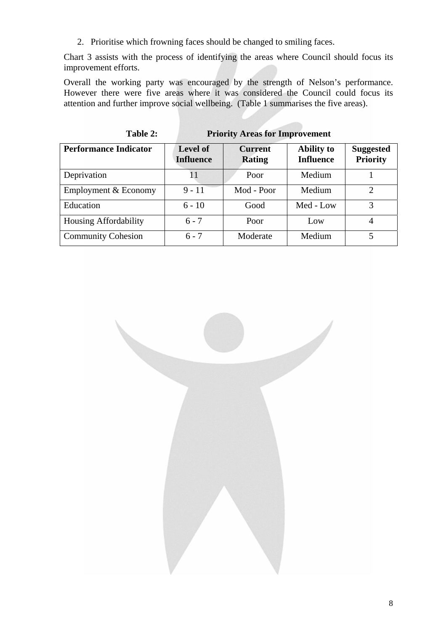2. Prioritise which frowning faces should be changed to smiling faces.

Chart 3 assists with the process of identifying the areas where Council should focus its improvement efforts.

Overall the working party was encouraged by the strength of Nelson's performance. However there were five areas where it was considered the Council could focus its attention and further improve social wellbeing. (Table 1 summarises the five areas).

| Table 2:                     |                                     | <b>Priority Areas for Improvement</b> |                                       |                                     |
|------------------------------|-------------------------------------|---------------------------------------|---------------------------------------|-------------------------------------|
| <b>Performance Indicator</b> | <b>Level of</b><br><b>Influence</b> | <b>Current</b><br><b>Rating</b>       | <b>Ability to</b><br><b>Influence</b> | <b>Suggested</b><br><b>Priority</b> |
| Deprivation                  | 11                                  | Poor                                  | Medium                                |                                     |
| Employment & Economy         | $9 - 11$                            | Mod - Poor                            | Medium                                | $\mathcal{D}$                       |
| Education                    | $6 - 10$                            | Good                                  | Med - Low                             | 3                                   |
| Housing Affordability        | $6 - 7$                             | Poor                                  | Low                                   | 4                                   |
| <b>Community Cohesion</b>    | $6 - 7$                             | Moderate                              | Medium                                | 5                                   |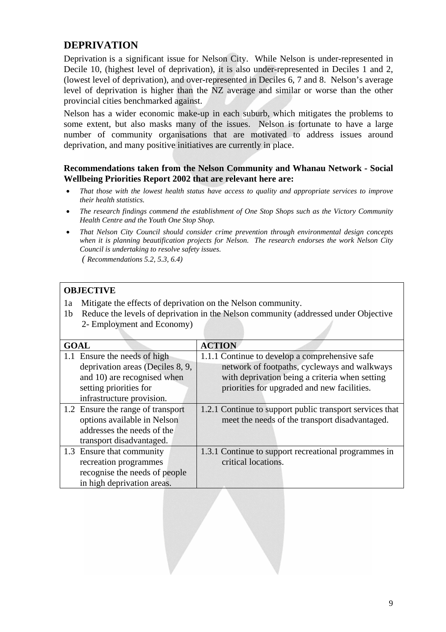# **DEPRIVATION**

Deprivation is a significant issue for Nelson City. While Nelson is under-represented in Decile 10, (highest level of deprivation), it is also under-represented in Deciles 1 and 2, (lowest level of deprivation), and over-represented in Deciles 6, 7 and 8. Nelson's average level of deprivation is higher than the NZ average and similar or worse than the other provincial cities benchmarked against.

Nelson has a wider economic make-up in each suburb, which mitigates the problems to some extent, but also masks many of the issues. Nelson is fortunate to have a large number of community organisations that are motivated to address issues around deprivation, and many positive initiatives are currently in place.

#### **Recommendations taken from the Nelson Community and Whanau Network - Social Wellbeing Priorities Report 2002 that are relevant here are:**

- *That those with the lowest health status have access to quality and appropriate services to improve their health statistics.*
- *The research findings commend the establishment of One Stop Shops such as the Victory Community Health Centre and the Youth One Stop Shop.*
- *That Nelson City Council should consider crime prevention through environmental design concepts when it is planning beautification projects for Nelson. The research endorses the work Nelson City Council is undertaking to resolve safety issues. ( Recommendations 5.2, 5.3, 6.4)*

### **OBJECTIVE**

- 1a Mitigate the effects of deprivation on the Nelson community.
- 1b Reduce the levels of deprivation in the Nelson community (addressed under Objective 2- Employment and Economy)

| <b>GOAL</b>                       | <b>ACTION</b>                                            |
|-----------------------------------|----------------------------------------------------------|
| 1.1 Ensure the needs of high      | 1.1.1 Continue to develop a comprehensive safe           |
| deprivation areas (Deciles 8, 9,  | network of footpaths, cycleways and walkways             |
| and 10) are recognised when       | with deprivation being a criteria when setting           |
| setting priorities for            | priorities for upgraded and new facilities.              |
| infrastructure provision.         |                                                          |
| 1.2 Ensure the range of transport | 1.2.1 Continue to support public transport services that |
| options available in Nelson       | meet the needs of the transport disadvantaged.           |
| addresses the needs of the        |                                                          |
| transport disadvantaged.          |                                                          |
| 1.3 Ensure that community         | 1.3.1 Continue to support recreational programmes in     |
| recreation programmes             | critical locations.                                      |
| recognise the needs of people     |                                                          |
| in high deprivation areas.        |                                                          |

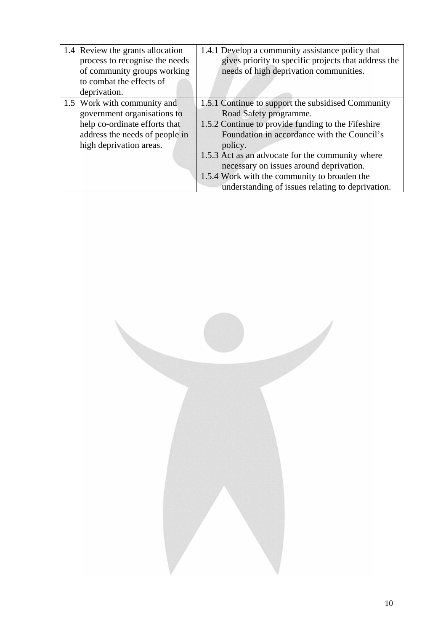| 1.4 Review the grants allocation<br>process to recognise the needs<br>of community groups working<br>to combat the effects of<br>deprivation.            | 1.4.1 Develop a community assistance policy that<br>gives priority to specific projects that address the<br>needs of high deprivation communities.                                                                                                                                                                                                                                              |
|----------------------------------------------------------------------------------------------------------------------------------------------------------|-------------------------------------------------------------------------------------------------------------------------------------------------------------------------------------------------------------------------------------------------------------------------------------------------------------------------------------------------------------------------------------------------|
| 1.5 Work with community and<br>government organisations to<br>help co-ordinate efforts that<br>address the needs of people in<br>high deprivation areas. | 1.5.1 Continue to support the subsidised Community<br>Road Safety programme.<br>1.5.2 Continue to provide funding to the Fifeshire<br>Foundation in accordance with the Council's<br>policy.<br>1.5.3 Act as an advocate for the community where<br>necessary on issues around deprivation.<br>1.5.4 Work with the community to broaden the<br>understanding of issues relating to deprivation. |

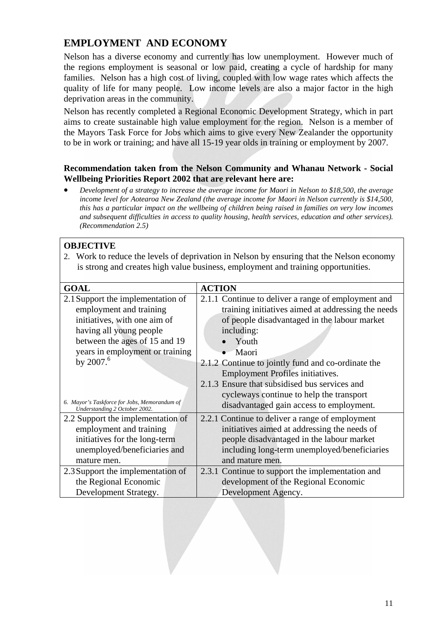# **EMPLOYMENT AND ECONOMY**

Nelson has a diverse economy and currently has low unemployment. However much of the regions employment is seasonal or low paid, creating a cycle of hardship for many families. Nelson has a high cost of living, coupled with low wage rates which affects the quality of life for many people. Low income levels are also a major factor in the high deprivation areas in the community.

Nelson has recently completed a Regional Economic Development Strategy, which in part aims to create sustainable high value employment for the region. Nelson is a member of the Mayors Task Force for Jobs which aims to give every New Zealander the opportunity to be in work or training; and have all 15-19 year olds in training or employment by 2007.

#### **Recommendation taken from the Nelson Community and Whanau Network - Social Wellbeing Priorities Report 2002 that are relevant here are:**

• *Development of a strategy to increase the average income for Maori in Nelson to \$18,500, the average income level for Aotearoa New Zealand (the average income for Maori in Nelson currently is \$14,500, this has a particular impact on the wellbeing of children being raised in families on very low incomes and subsequent difficulties in access to quality housing, health services, education and other services). (Recommendation 2.5)*

#### **OBJECTIVE**

2. Work to reduce the levels of deprivation in Nelson by ensuring that the Nelson economy is strong and creates high value business, employment and training opportunities.

| <b>GOAL</b>                                                                   | <b>ACTION</b>                                       |  |  |
|-------------------------------------------------------------------------------|-----------------------------------------------------|--|--|
| 2.1 Support the implementation of                                             | 2.1.1 Continue to deliver a range of employment and |  |  |
| employment and training                                                       | training initiatives aimed at addressing the needs  |  |  |
| initiatives, with one aim of                                                  | of people disadvantaged in the labour market        |  |  |
| having all young people                                                       | including:                                          |  |  |
| between the ages of 15 and 19                                                 | Youth                                               |  |  |
| years in employment or training                                               | Maori                                               |  |  |
| by $2007.6$                                                                   | 2.1.2 Continue to jointly fund and co-ordinate the  |  |  |
|                                                                               | <b>Employment Profiles initiatives.</b>             |  |  |
|                                                                               | 2.1.3 Ensure that subsidised bus services and       |  |  |
|                                                                               | cycleways continue to help the transport            |  |  |
| 6. Mayor's Taskforce for Jobs, Memorandum of<br>Understanding 2 October 2002. | disadvantaged gain access to employment.            |  |  |
| 2.2 Support the implementation of                                             | 2.2.1 Continue to deliver a range of employment     |  |  |
| employment and training                                                       | initiatives aimed at addressing the needs of        |  |  |
| initiatives for the long-term                                                 | people disadvantaged in the labour market           |  |  |
| unemployed/beneficiaries and                                                  | including long-term unemployed/beneficiaries        |  |  |
| mature men.                                                                   | and mature men.                                     |  |  |
| 2.3 Support the implementation of                                             | 2.3.1 Continue to support the implementation and    |  |  |
| the Regional Economic                                                         | development of the Regional Economic                |  |  |
| Development Strategy.                                                         | Development Agency.                                 |  |  |

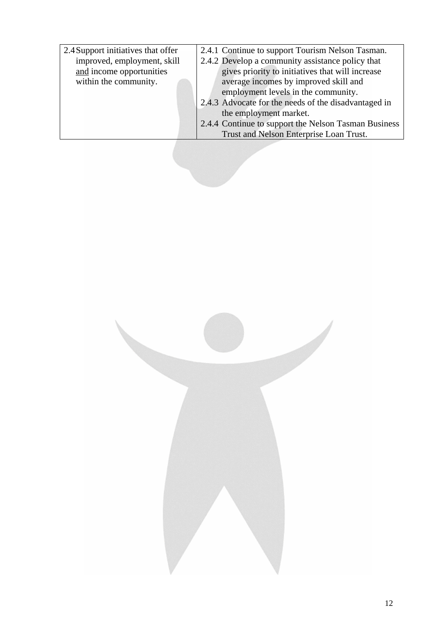| 2.4.1 Continue to support Tourism Nelson Tasman.     |
|------------------------------------------------------|
| 2.4.2 Develop a community assistance policy that     |
| gives priority to initiatives that will increase     |
| average incomes by improved skill and                |
| employment levels in the community.                  |
| 2.4.3 Advocate for the needs of the disadvantaged in |
| the employment market.                               |
| 2.4.4 Continue to support the Nelson Tasman Business |
| Trust and Nelson Enterprise Loan Trust.              |
|                                                      |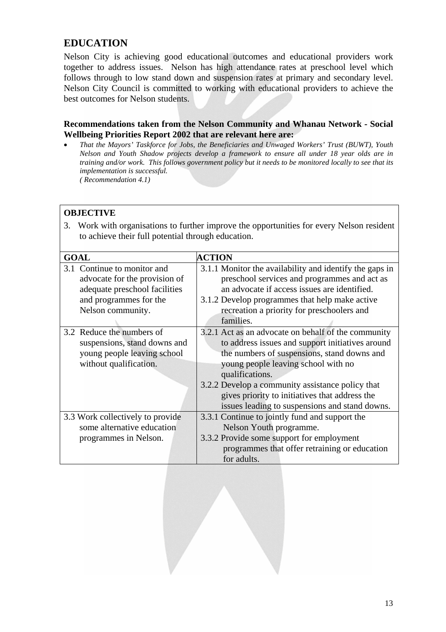# **EDUCATION**

Nelson City is achieving good educational outcomes and educational providers work together to address issues. Nelson has high attendance rates at preschool level which follows through to low stand down and suspension rates at primary and secondary level. Nelson City Council is committed to working with educational providers to achieve the best outcomes for Nelson students.

#### **Recommendations taken from the Nelson Community and Whanau Network - Social Wellbeing Priorities Report 2002 that are relevant here are:**

• *That the Mayors' Taskforce for Jobs, the Beneficiaries and Unwaged Workers' Trust (BUWT), Youth Nelson and Youth Shadow projects develop a framework to ensure all under 18 year olds are in training and/or work. This follows government policy but it needs to be monitored locally to see that its implementation is successful. ( Recommendation 4.1)*

#### **OBJECTIVE**

3. Work with organisations to further improve the opportunities for every Nelson resident to achieve their full potential through education.

| <b>GOAL</b>                                                                                                                                     | <b>ACTION</b>                                                                                                                                                                                                                                                                                                                                                            |  |  |
|-------------------------------------------------------------------------------------------------------------------------------------------------|--------------------------------------------------------------------------------------------------------------------------------------------------------------------------------------------------------------------------------------------------------------------------------------------------------------------------------------------------------------------------|--|--|
| Continue to monitor and<br>3.1<br>advocate for the provision of<br>adequate preschool facilities<br>and programmes for the<br>Nelson community. | 3.1.1 Monitor the availability and identify the gaps in<br>preschool services and programmes and act as<br>an advocate if access issues are identified.<br>3.1.2 Develop programmes that help make active<br>recreation a priority for preschoolers and<br>families.                                                                                                     |  |  |
| 3.2 Reduce the numbers of<br>suspensions, stand downs and<br>young people leaving school<br>without qualification.                              | 3.2.1 Act as an advocate on behalf of the community<br>to address issues and support initiatives around<br>the numbers of suspensions, stand downs and<br>young people leaving school with no<br>qualifications.<br>3.2.2 Develop a community assistance policy that<br>gives priority to initiatives that address the<br>issues leading to suspensions and stand downs. |  |  |
| 3.3 Work collectively to provide<br>some alternative education<br>programmes in Nelson.                                                         | 3.3.1 Continue to jointly fund and support the<br>Nelson Youth programme.<br>3.3.2 Provide some support for employment<br>programmes that offer retraining or education<br>for adults.                                                                                                                                                                                   |  |  |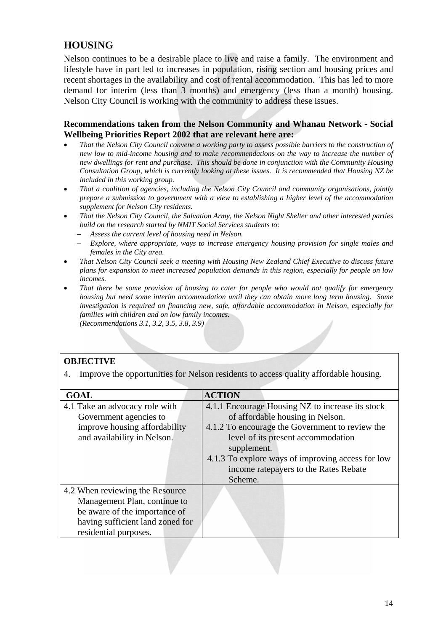# **HOUSING**

Nelson continues to be a desirable place to live and raise a family. The environment and lifestyle have in part led to increases in population, rising section and housing prices and recent shortages in the availability and cost of rental accommodation. This has led to more demand for interim (less than 3 months) and emergency (less than a month) housing. Nelson City Council is working with the community to address these issues.

#### **Recommendations taken from the Nelson Community and Whanau Network - Social Wellbeing Priorities Report 2002 that are relevant here are:**

- *That the Nelson City Council convene a working party to assess possible barriers to the construction of new low to mid-income housing and to make recommendations on the way to increase the number of new dwellings for rent and purchase. This should be done in conjunction with the Community Housing Consultation Group, which is currently looking at these issues. It is recommended that Housing NZ be included in this working group.*
- *That a coalition of agencies, including the Nelson City Council and community organisations, jointly prepare a submission to government with a view to establishing a higher level of the accommodation supplement for Nelson City residents.*
- *That the Nelson City Council, the Salvation Army, the Nelson Night Shelter and other interested parties build on the research started by NMIT Social Services students to:* 
	- − *Assess the current level of housing need in Nelson.*
	- − *Explore, where appropriate, ways to increase emergency housing provision for single males and females in the City area.*
- *That Nelson City Council seek a meeting with Housing New Zealand Chief Executive to discuss future plans for expansion to meet increased population demands in this region, especially for people on low incomes.*
- *That there be some provision of housing to cater for people who would not qualify for emergency housing but need some interim accommodation until they can obtain more long term housing. Some investigation is required on financing new, safe, affordable accommodation in Nelson, especially for families with children and on low family incomes. (Recommendations 3.1, 3.2, 3.5, 3.8, 3.9)*

#### **OBJECTIVE**

4. Improve the opportunities for Nelson residents to access quality affordable housing.

| <b>GOAL</b>                      | <b>ACTION</b>                                     |  |  |
|----------------------------------|---------------------------------------------------|--|--|
| 4.1 Take an advocacy role with   | 4.1.1 Encourage Housing NZ to increase its stock  |  |  |
| Government agencies to           | of affordable housing in Nelson.                  |  |  |
| improve housing affordability    | 4.1.2 To encourage the Government to review the   |  |  |
| and availability in Nelson.      | level of its present accommodation                |  |  |
|                                  | supplement.                                       |  |  |
|                                  | 4.1.3 To explore ways of improving access for low |  |  |
|                                  | income rate payers to the Rates Rebate            |  |  |
|                                  | Scheme.                                           |  |  |
| 4.2 When reviewing the Resource  |                                                   |  |  |
| Management Plan, continue to     |                                                   |  |  |
| be aware of the importance of    |                                                   |  |  |
| having sufficient land zoned for |                                                   |  |  |
| residential purposes.            |                                                   |  |  |
|                                  |                                                   |  |  |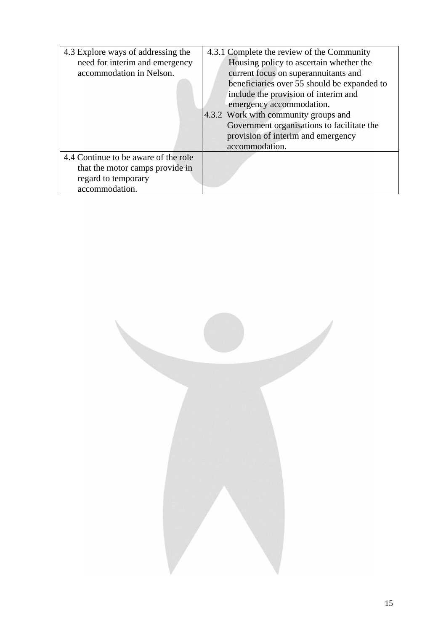| 4.3 Explore ways of addressing the   | 4.3.1 Complete the review of the Community  |
|--------------------------------------|---------------------------------------------|
| need for interim and emergency       | Housing policy to ascertain whether the     |
| accommodation in Nelson.             | current focus on superannuitants and        |
|                                      | beneficiaries over 55 should be expanded to |
|                                      | include the provision of interim and        |
|                                      | emergency accommodation.                    |
|                                      | 4.3.2 Work with community groups and        |
|                                      | Government organisations to facilitate the  |
|                                      | provision of interim and emergency          |
|                                      | accommodation.                              |
| 4.4 Continue to be aware of the role |                                             |
| that the motor camps provide in      |                                             |
| regard to temporary                  |                                             |
| accommodation.                       |                                             |

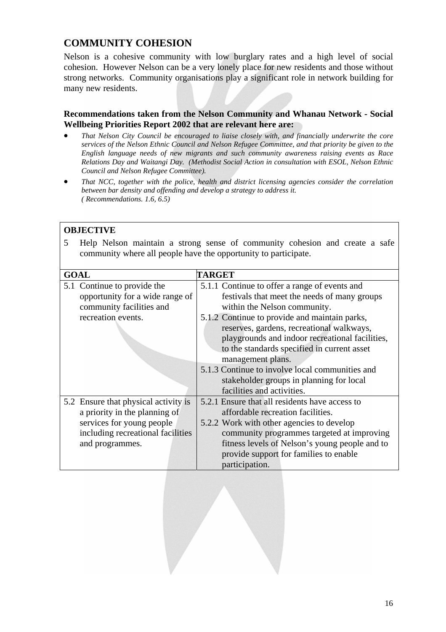# **COMMUNITY COHESION**

Nelson is a cohesive community with low burglary rates and a high level of social cohesion. However Nelson can be a very lonely place for new residents and those without strong networks. Community organisations play a significant role in network building for many new residents.

#### **Recommendations taken from the Nelson Community and Whanau Network - Social Wellbeing Priorities Report 2002 that are relevant here are:**

- *That Nelson City Council be encouraged to liaise closely with, and financially underwrite the core services of the Nelson Ethnic Council and Nelson Refugee Committee, and that priority be given to the English language needs of new migrants and such community awareness raising events as Race Relations Day and Waitangi Day. (Methodist Social Action in consultation with ESOL, Nelson Ethnic Council and Nelson Refugee Committee).*
- *That NCC, together with the police, health and district licensing agencies consider the correlation between bar density and offending and develop a strategy to address it. ( Recommendations. 1.6, 6.5)*

#### **OBJECTIVE**

5 Help Nelson maintain a strong sense of community cohesion and create a safe community where all people have the opportunity to participate.

| <b>GOAL</b>                          | <b>TARGET</b>                                   |
|--------------------------------------|-------------------------------------------------|
|                                      |                                                 |
| 5.1 Continue to provide the          | 5.1.1 Continue to offer a range of events and   |
| opportunity for a wide range of      | festivals that meet the needs of many groups    |
| community facilities and             | within the Nelson community.                    |
| recreation events.                   | 5.1.2 Continue to provide and maintain parks,   |
|                                      | reserves, gardens, recreational walkways,       |
|                                      | playgrounds and indoor recreational facilities, |
|                                      | to the standards specified in current asset     |
|                                      | management plans.                               |
|                                      | 5.1.3 Continue to involve local communities and |
|                                      | stakeholder groups in planning for local        |
|                                      | facilities and activities.                      |
| 5.2 Ensure that physical activity is | 5.2.1 Ensure that all residents have access to  |
| a priority in the planning of        | affordable recreation facilities.               |
| services for young people            | 5.2.2 Work with other agencies to develop       |
| including recreational facilities    | community programmes targeted at improving      |
| and programmes.                      | fitness levels of Nelson's young people and to  |
|                                      | provide support for families to enable          |
|                                      | participation.                                  |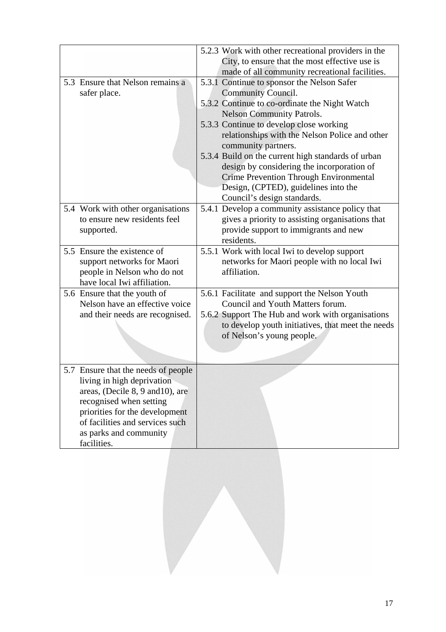|                                                                                                                                                                                                                                                | 5.2.3 Work with other recreational providers in the<br>City, to ensure that the most effective use is<br>made of all community recreational facilities.                                                                                                                                                                                                                                                                                                                                                      |
|------------------------------------------------------------------------------------------------------------------------------------------------------------------------------------------------------------------------------------------------|--------------------------------------------------------------------------------------------------------------------------------------------------------------------------------------------------------------------------------------------------------------------------------------------------------------------------------------------------------------------------------------------------------------------------------------------------------------------------------------------------------------|
| 5.3 Ensure that Nelson remains a<br>safer place.                                                                                                                                                                                               | 5.3.1 Continue to sponsor the Nelson Safer<br><b>Community Council.</b><br>5.3.2 Continue to co-ordinate the Night Watch<br><b>Nelson Community Patrols.</b><br>5.3.3 Continue to develop close working<br>relationships with the Nelson Police and other<br>community partners.<br>5.3.4 Build on the current high standards of urban<br>design by considering the incorporation of<br><b>Crime Prevention Through Environmental</b><br>Design, (CPTED), guidelines into the<br>Council's design standards. |
| 5.4 Work with other organisations<br>to ensure new residents feel<br>supported.                                                                                                                                                                | 5.4.1 Develop a community assistance policy that<br>gives a priority to assisting organisations that<br>provide support to immigrants and new<br>residents.                                                                                                                                                                                                                                                                                                                                                  |
| 5.5 Ensure the existence of<br>support networks for Maori<br>people in Nelson who do not<br>have local Iwi affiliation.                                                                                                                        | 5.5.1 Work with local Iwi to develop support<br>networks for Maori people with no local Iwi<br>affiliation.                                                                                                                                                                                                                                                                                                                                                                                                  |
| 5.6 Ensure that the youth of<br>Nelson have an effective voice<br>and their needs are recognised.                                                                                                                                              | 5.6.1 Facilitate and support the Nelson Youth<br>Council and Youth Matters forum.<br>5.6.2 Support The Hub and work with organisations<br>to develop youth initiatives, that meet the needs<br>of Nelson's young people.                                                                                                                                                                                                                                                                                     |
| 5.7 Ensure that the needs of people<br>living in high deprivation<br>areas, (Decile 8, 9 and 10), are<br>recognised when setting<br>priorities for the development<br>of facilities and services such<br>as parks and community<br>facilities. |                                                                                                                                                                                                                                                                                                                                                                                                                                                                                                              |